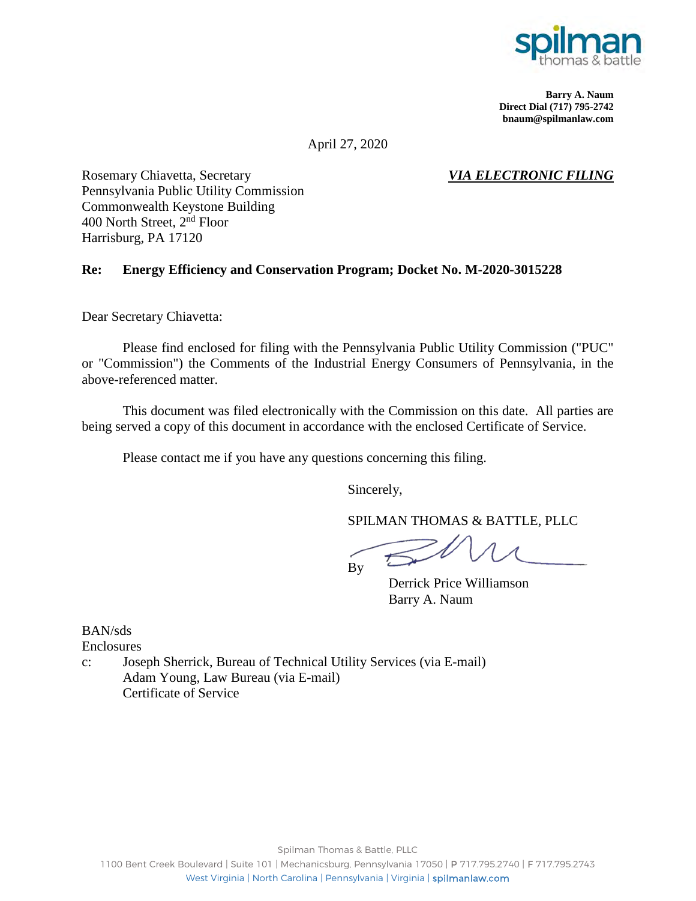

**Barry A. Naum Direct Dial (717) 795-2742 bnaum@spilmanlaw.com** 

April 27, 2020

Rosemary Chiavetta, Secretary *VIA ELECTRONIC FILING* Pennsylvania Public Utility Commission Commonwealth Keystone Building 400 North Street, 2nd Floor Harrisburg, PA 17120

## **Re: Energy Efficiency and Conservation Program; Docket No. M-2020-3015228**

Dear Secretary Chiavetta:

Please find enclosed for filing with the Pennsylvania Public Utility Commission ("PUC" or "Commission") the Comments of the Industrial Energy Consumers of Pennsylvania, in the above-referenced matter.

This document was filed electronically with the Commission on this date. All parties are being served a copy of this document in accordance with the enclosed Certificate of Service.

Please contact me if you have any questions concerning this filing.

Sincerely,

SPILMAN THOMAS & BATTLE, PLLC

By

Derrick Price Williamson Barry A. Naum

BAN/sds

Enclosures

c: Joseph Sherrick, Bureau of Technical Utility Services (via E-mail) Adam Young, Law Bureau (via E-mail) Certificate of Service

1100 Bent Creek Boulevard | Suite 101 | Mechanicsburg, Pennsylvania 17050 | P 717.795.2740 | F 717.795.2743 West Virginia | North Carolina | Pennsylvania | Virginia | spilmanlaw.com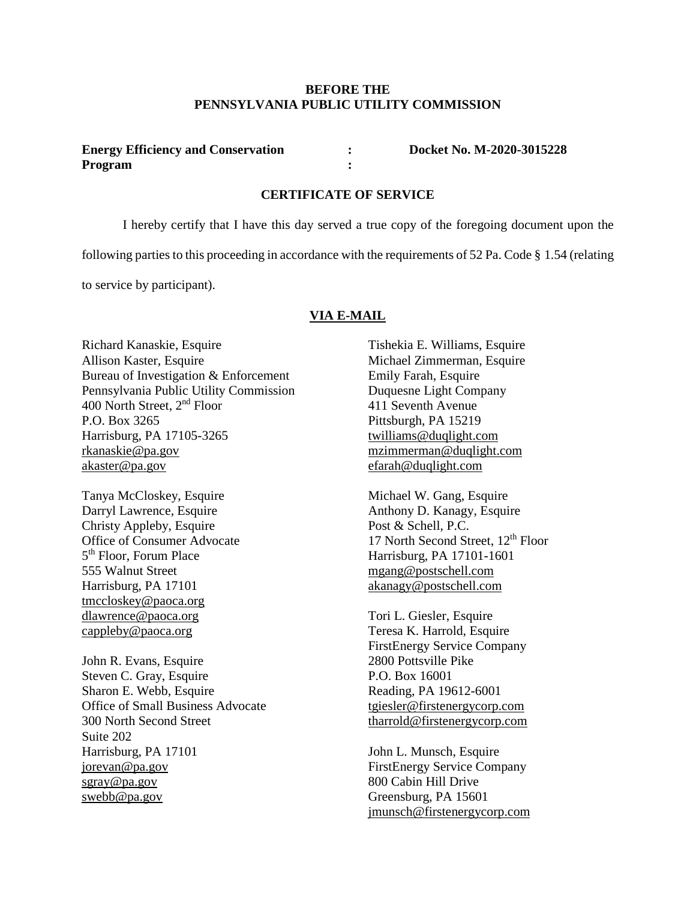#### **BEFORE THE PENNSYLVANIA PUBLIC UTILITY COMMISSION**

**Energy Efficiency and Conservation : Docket No. M-2020-3015228**  Program : *x* : *x* : *x* : *x* : *x* : *x* : *x* : *x* : *x* : *x* : *x* : *x* : *x* : *x* : *x* : *x* : *x* : *x* : *x* : *x* : *x* : *x* : *x* : *x* : *x* : *x* : *x* : *x* : *x* : *x* : *x* : *x* : *x* : *x* 

#### **CERTIFICATE OF SERVICE**

I hereby certify that I have this day served a true copy of the foregoing document upon the following parties to this proceeding in accordance with the requirements of 52 Pa. Code § 1.54 (relating to service by participant).

#### **VIA E-MAIL**

Richard Kanaskie, Esquire Allison Kaster, Esquire Bureau of Investigation & Enforcement Pennsylvania Public Utility Commission 400 North Street, 2nd Floor P.O. Box 3265 Harrisburg, PA 17105-3265 rkanaskie@pa.gov akaster@pa.gov

Tanya McCloskey, Esquire Darryl Lawrence, Esquire Christy Appleby, Esquire Office of Consumer Advocate 5<sup>th</sup> Floor, Forum Place 555 Walnut Street Harrisburg, PA 17101 tmccloskey@paoca.org dlawrence@paoca.org cappleby@paoca.org

John R. Evans, Esquire Steven C. Gray, Esquire Sharon E. Webb, Esquire Office of Small Business Advocate 300 North Second Street Suite 202 Harrisburg, PA 17101 jorevan@pa.gov sgray@pa.gov swebb@pa.gov

Tishekia E. Williams, Esquire Michael Zimmerman, Esquire Emily Farah, Esquire Duquesne Light Company 411 Seventh Avenue Pittsburgh, PA 15219 twilliams@duqlight.com mzimmerman@duqlight.com efarah@duqlight.com

Michael W. Gang, Esquire Anthony D. Kanagy, Esquire Post & Schell, P.C. 17 North Second Street, 12<sup>th</sup> Floor Harrisburg, PA 17101-1601 mgang@postschell.com akanagy@postschell.com

Tori L. Giesler, Esquire Teresa K. Harrold, Esquire FirstEnergy Service Company 2800 Pottsville Pike P.O. Box 16001 Reading, PA 19612-6001 tgiesler@firstenergycorp.com tharrold@firstenergycorp.com

John L. Munsch, Esquire FirstEnergy Service Company 800 Cabin Hill Drive Greensburg, PA 15601 jmunsch@firstenergycorp.com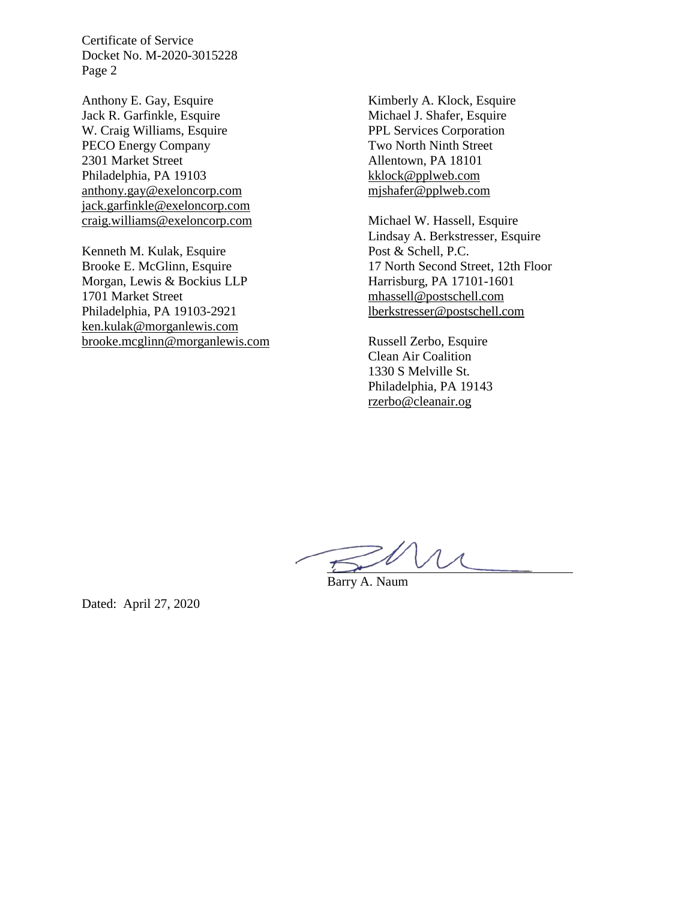Certificate of Service Docket No. M-2020-3015228 Page 2

Anthony E. Gay, Esquire Jack R. Garfinkle, Esquire W. Craig Williams, Esquire PECO Energy Company 2301 Market Street Philadelphia, PA 19103 anthony.gay@exeloncorp.com jack.garfinkle@exeloncorp.com craig.williams@exeloncorp.com

Kenneth M. Kulak, Esquire Brooke E. McGlinn, Esquire Morgan, Lewis & Bockius LLP 1701 Market Street Philadelphia, PA 19103-2921 ken.kulak@morganlewis.com brooke.mcglinn@morganlewis.com

Kimberly A. Klock, Esquire Michael J. Shafer, Esquire PPL Services Corporation Two North Ninth Street Allentown, PA 18101 kklock@pplweb.com mjshafer@pplweb.com

Michael W. Hassell, Esquire Lindsay A. Berkstresser, Esquire Post & Schell, P.C. 17 North Second Street, 12th Floor Harrisburg, PA 17101-1601 mhassell@postschell.com lberkstresser@postschell.com

Russell Zerbo, Esquire Clean Air Coalition 1330 S Melville St. Philadelphia, PA 19143 rzerbo@cleanair.og

Barry A. Naum

Dated: April 27, 2020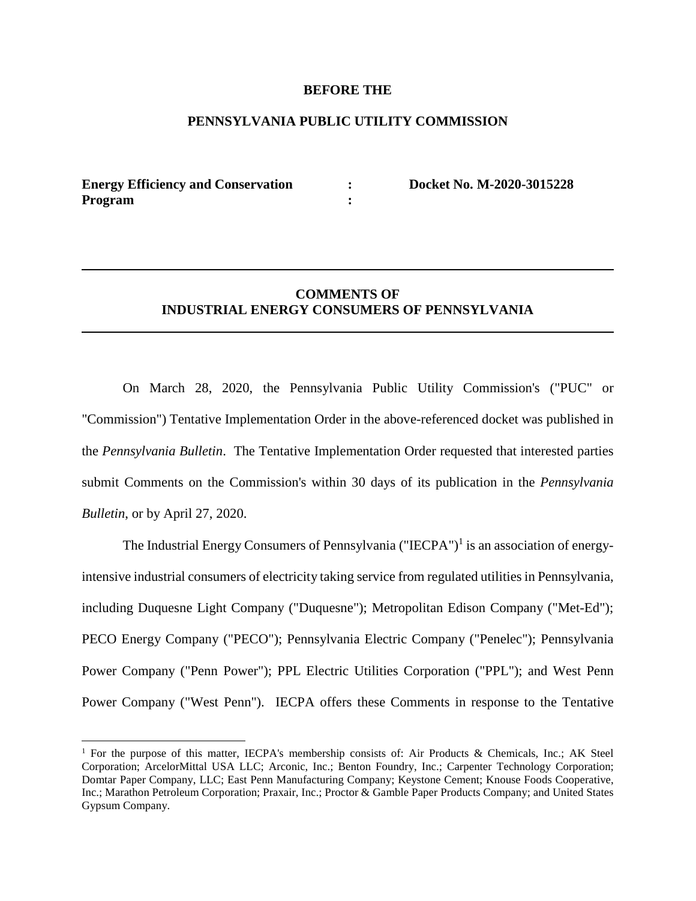#### **BEFORE THE**

## **PENNSYLVANIA PUBLIC UTILITY COMMISSION**

**Energy Efficiency and Conservation : Docket No. M-2020-3015228 Program :** 

# **COMMENTS OF INDUSTRIAL ENERGY CONSUMERS OF PENNSYLVANIA**

On March 28, 2020, the Pennsylvania Public Utility Commission's ("PUC" or "Commission") Tentative Implementation Order in the above-referenced docket was published in the *Pennsylvania Bulletin*. The Tentative Implementation Order requested that interested parties submit Comments on the Commission's within 30 days of its publication in the *Pennsylvania Bulletin*, or by April 27, 2020.

The Industrial Energy Consumers of Pennsylvania ("IECPA")<sup>1</sup> is an association of energyintensive industrial consumers of electricity taking service from regulated utilities in Pennsylvania, including Duquesne Light Company ("Duquesne"); Metropolitan Edison Company ("Met-Ed"); PECO Energy Company ("PECO"); Pennsylvania Electric Company ("Penelec"); Pennsylvania Power Company ("Penn Power"); PPL Electric Utilities Corporation ("PPL"); and West Penn Power Company ("West Penn"). IECPA offers these Comments in response to the Tentative

<sup>&</sup>lt;sup>1</sup> For the purpose of this matter, IECPA's membership consists of: Air Products & Chemicals, Inc.; AK Steel Corporation; ArcelorMittal USA LLC; Arconic, Inc.; Benton Foundry, Inc.; Carpenter Technology Corporation; Domtar Paper Company, LLC; East Penn Manufacturing Company; Keystone Cement; Knouse Foods Cooperative, Inc.; Marathon Petroleum Corporation; Praxair, Inc.; Proctor & Gamble Paper Products Company; and United States Gypsum Company.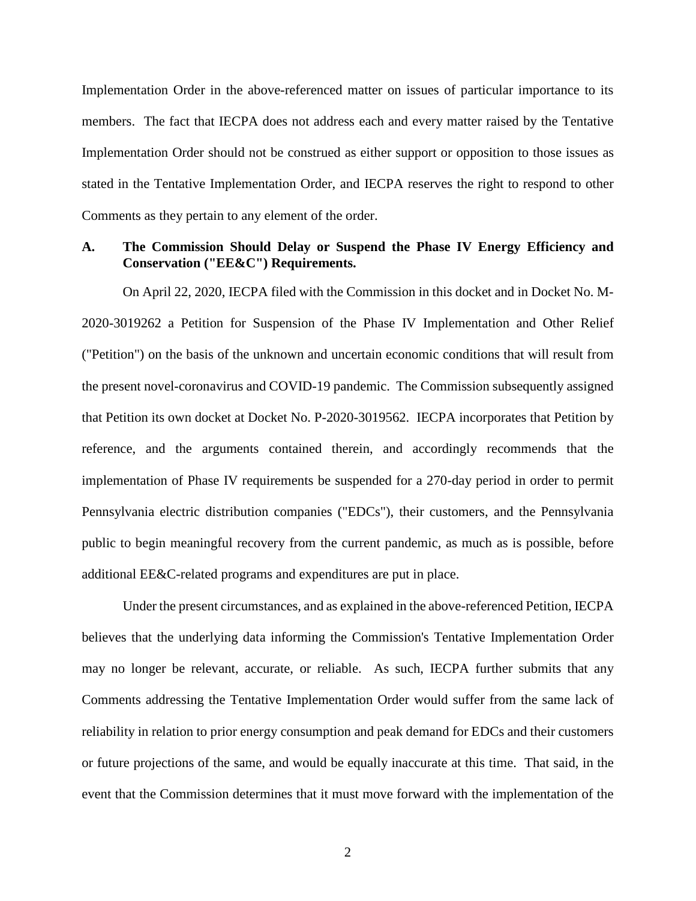Implementation Order in the above-referenced matter on issues of particular importance to its members. The fact that IECPA does not address each and every matter raised by the Tentative Implementation Order should not be construed as either support or opposition to those issues as stated in the Tentative Implementation Order, and IECPA reserves the right to respond to other Comments as they pertain to any element of the order.

### **A. The Commission Should Delay or Suspend the Phase IV Energy Efficiency and Conservation ("EE&C") Requirements.**

On April 22, 2020, IECPA filed with the Commission in this docket and in Docket No. M-2020-3019262 a Petition for Suspension of the Phase IV Implementation and Other Relief ("Petition") on the basis of the unknown and uncertain economic conditions that will result from the present novel-coronavirus and COVID-19 pandemic. The Commission subsequently assigned that Petition its own docket at Docket No. P-2020-3019562. IECPA incorporates that Petition by reference, and the arguments contained therein, and accordingly recommends that the implementation of Phase IV requirements be suspended for a 270-day period in order to permit Pennsylvania electric distribution companies ("EDCs"), their customers, and the Pennsylvania public to begin meaningful recovery from the current pandemic, as much as is possible, before additional EE&C-related programs and expenditures are put in place.

Under the present circumstances, and as explained in the above-referenced Petition, IECPA believes that the underlying data informing the Commission's Tentative Implementation Order may no longer be relevant, accurate, or reliable. As such, IECPA further submits that any Comments addressing the Tentative Implementation Order would suffer from the same lack of reliability in relation to prior energy consumption and peak demand for EDCs and their customers or future projections of the same, and would be equally inaccurate at this time. That said, in the event that the Commission determines that it must move forward with the implementation of the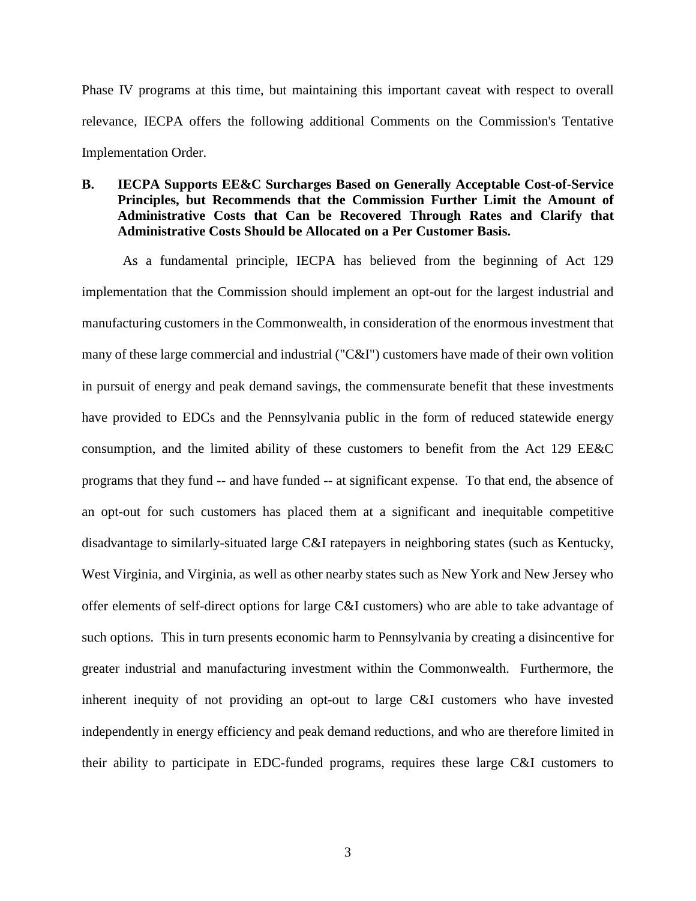Phase IV programs at this time, but maintaining this important caveat with respect to overall relevance, IECPA offers the following additional Comments on the Commission's Tentative Implementation Order.

## **B. IECPA Supports EE&C Surcharges Based on Generally Acceptable Cost-of-Service Principles, but Recommends that the Commission Further Limit the Amount of Administrative Costs that Can be Recovered Through Rates and Clarify that Administrative Costs Should be Allocated on a Per Customer Basis.**

As a fundamental principle, IECPA has believed from the beginning of Act 129 implementation that the Commission should implement an opt-out for the largest industrial and manufacturing customers in the Commonwealth, in consideration of the enormous investment that many of these large commercial and industrial ("C&I") customers have made of their own volition in pursuit of energy and peak demand savings, the commensurate benefit that these investments have provided to EDCs and the Pennsylvania public in the form of reduced statewide energy consumption, and the limited ability of these customers to benefit from the Act 129 EE&C programs that they fund -- and have funded -- at significant expense. To that end, the absence of an opt-out for such customers has placed them at a significant and inequitable competitive disadvantage to similarly-situated large C&I ratepayers in neighboring states (such as Kentucky, West Virginia, and Virginia, as well as other nearby states such as New York and New Jersey who offer elements of self-direct options for large C&I customers) who are able to take advantage of such options. This in turn presents economic harm to Pennsylvania by creating a disincentive for greater industrial and manufacturing investment within the Commonwealth. Furthermore, the inherent inequity of not providing an opt-out to large C&I customers who have invested independently in energy efficiency and peak demand reductions, and who are therefore limited in their ability to participate in EDC-funded programs, requires these large C&I customers to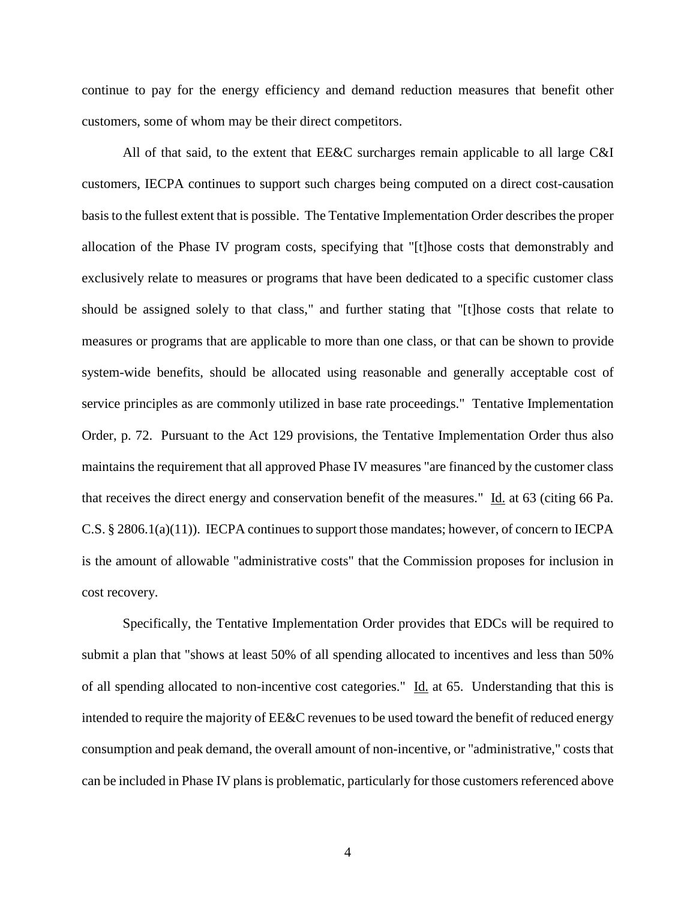continue to pay for the energy efficiency and demand reduction measures that benefit other customers, some of whom may be their direct competitors.

All of that said, to the extent that EE&C surcharges remain applicable to all large C&I customers, IECPA continues to support such charges being computed on a direct cost-causation basis to the fullest extent that is possible. The Tentative Implementation Order describes the proper allocation of the Phase IV program costs, specifying that "[t]hose costs that demonstrably and exclusively relate to measures or programs that have been dedicated to a specific customer class should be assigned solely to that class," and further stating that "[t]hose costs that relate to measures or programs that are applicable to more than one class, or that can be shown to provide system-wide benefits, should be allocated using reasonable and generally acceptable cost of service principles as are commonly utilized in base rate proceedings." Tentative Implementation Order, p. 72. Pursuant to the Act 129 provisions, the Tentative Implementation Order thus also maintains the requirement that all approved Phase IV measures "are financed by the customer class that receives the direct energy and conservation benefit of the measures." Id. at 63 (citing 66 Pa. C.S. § 2806.1(a)(11)). IECPA continues to support those mandates; however, of concern to IECPA is the amount of allowable "administrative costs" that the Commission proposes for inclusion in cost recovery.

Specifically, the Tentative Implementation Order provides that EDCs will be required to submit a plan that "shows at least 50% of all spending allocated to incentives and less than 50% of all spending allocated to non-incentive cost categories." Id. at 65. Understanding that this is intended to require the majority of EE&C revenues to be used toward the benefit of reduced energy consumption and peak demand, the overall amount of non-incentive, or "administrative," costs that can be included in Phase IV plans is problematic, particularly for those customers referenced above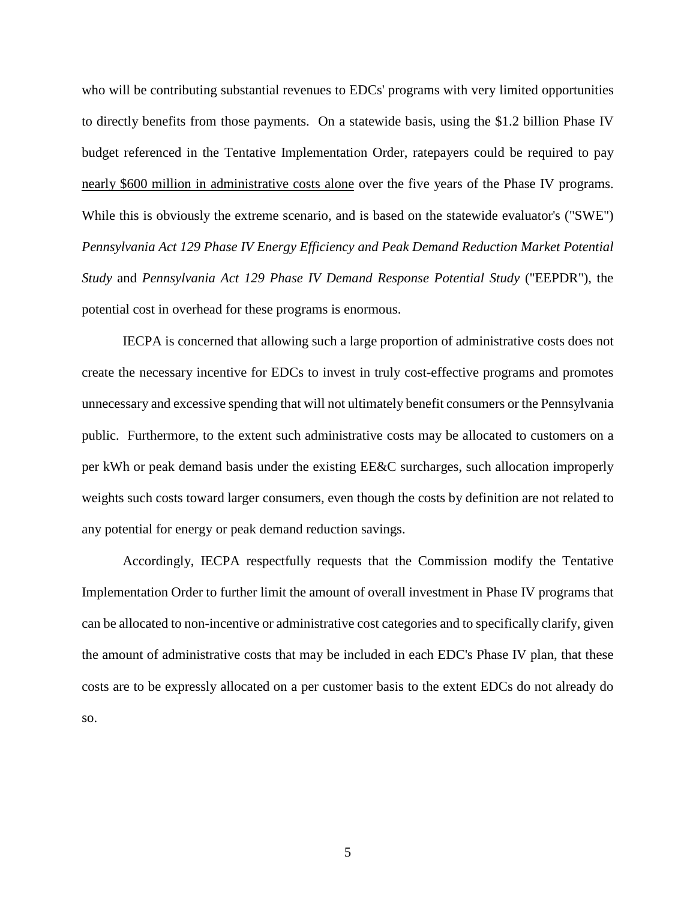who will be contributing substantial revenues to EDCs' programs with very limited opportunities to directly benefits from those payments. On a statewide basis, using the \$1.2 billion Phase IV budget referenced in the Tentative Implementation Order, ratepayers could be required to pay nearly \$600 million in administrative costs alone over the five years of the Phase IV programs. While this is obviously the extreme scenario, and is based on the statewide evaluator's ("SWE") *Pennsylvania Act 129 Phase IV Energy Efficiency and Peak Demand Reduction Market Potential Study* and *Pennsylvania Act 129 Phase IV Demand Response Potential Study* ("EEPDR"), the potential cost in overhead for these programs is enormous.

IECPA is concerned that allowing such a large proportion of administrative costs does not create the necessary incentive for EDCs to invest in truly cost-effective programs and promotes unnecessary and excessive spending that will not ultimately benefit consumers or the Pennsylvania public. Furthermore, to the extent such administrative costs may be allocated to customers on a per kWh or peak demand basis under the existing EE&C surcharges, such allocation improperly weights such costs toward larger consumers, even though the costs by definition are not related to any potential for energy or peak demand reduction savings.

Accordingly, IECPA respectfully requests that the Commission modify the Tentative Implementation Order to further limit the amount of overall investment in Phase IV programs that can be allocated to non-incentive or administrative cost categories and to specifically clarify, given the amount of administrative costs that may be included in each EDC's Phase IV plan, that these costs are to be expressly allocated on a per customer basis to the extent EDCs do not already do so.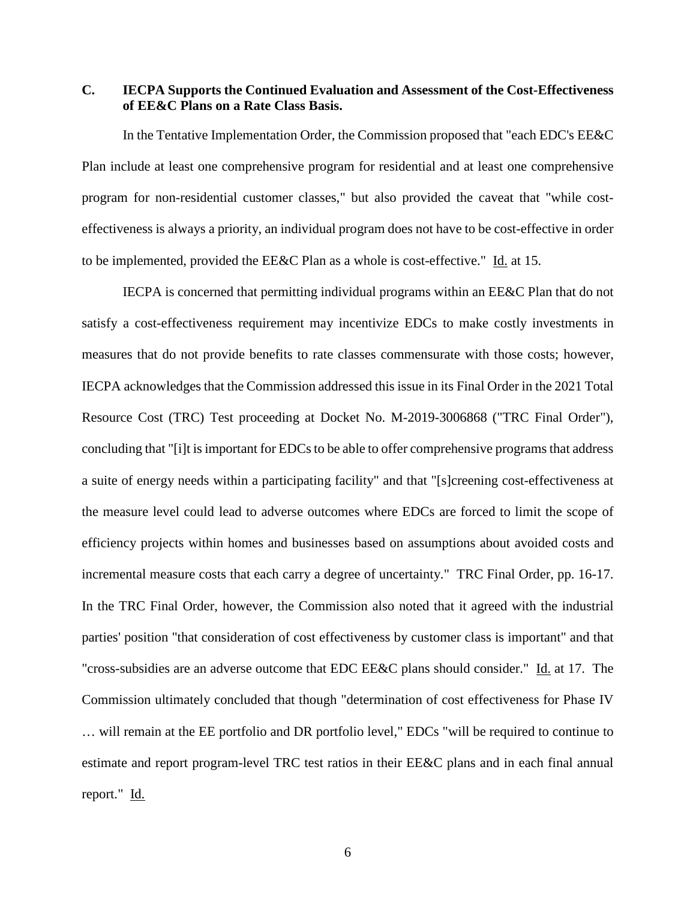**C. IECPA Supports the Continued Evaluation and Assessment of the Cost-Effectiveness of EE&C Plans on a Rate Class Basis.**

In the Tentative Implementation Order, the Commission proposed that "each EDC's EE&C Plan include at least one comprehensive program for residential and at least one comprehensive program for non-residential customer classes," but also provided the caveat that "while costeffectiveness is always a priority, an individual program does not have to be cost-effective in order to be implemented, provided the EE&C Plan as a whole is cost-effective." Id. at 15.

IECPA is concerned that permitting individual programs within an EE&C Plan that do not satisfy a cost-effectiveness requirement may incentivize EDCs to make costly investments in measures that do not provide benefits to rate classes commensurate with those costs; however, IECPA acknowledges that the Commission addressed this issue in its Final Order in the 2021 Total Resource Cost (TRC) Test proceeding at Docket No. M-2019-3006868 ("TRC Final Order"), concluding that "[i]t is important for EDCs to be able to offer comprehensive programs that address a suite of energy needs within a participating facility" and that "[s]creening cost-effectiveness at the measure level could lead to adverse outcomes where EDCs are forced to limit the scope of efficiency projects within homes and businesses based on assumptions about avoided costs and incremental measure costs that each carry a degree of uncertainty." TRC Final Order, pp. 16-17. In the TRC Final Order, however, the Commission also noted that it agreed with the industrial parties' position "that consideration of cost effectiveness by customer class is important" and that "cross-subsidies are an adverse outcome that EDC EE&C plans should consider." Id. at 17. The Commission ultimately concluded that though "determination of cost effectiveness for Phase IV … will remain at the EE portfolio and DR portfolio level," EDCs "will be required to continue to estimate and report program-level TRC test ratios in their EE&C plans and in each final annual report." Id.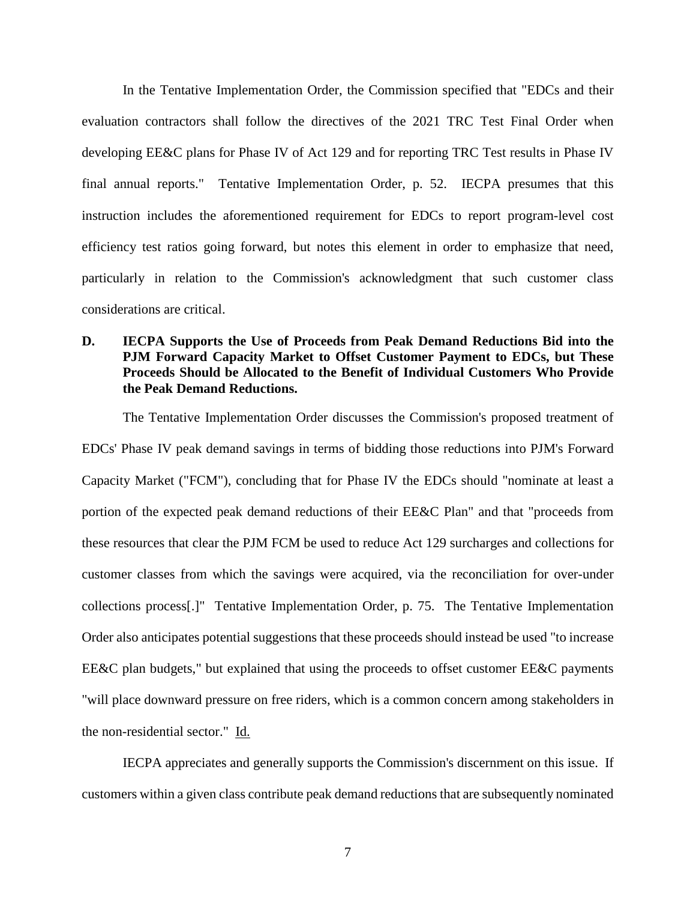In the Tentative Implementation Order, the Commission specified that "EDCs and their evaluation contractors shall follow the directives of the 2021 TRC Test Final Order when developing EE&C plans for Phase IV of Act 129 and for reporting TRC Test results in Phase IV final annual reports." Tentative Implementation Order, p. 52. IECPA presumes that this instruction includes the aforementioned requirement for EDCs to report program-level cost efficiency test ratios going forward, but notes this element in order to emphasize that need, particularly in relation to the Commission's acknowledgment that such customer class considerations are critical.

# **D. IECPA Supports the Use of Proceeds from Peak Demand Reductions Bid into the PJM Forward Capacity Market to Offset Customer Payment to EDCs, but These Proceeds Should be Allocated to the Benefit of Individual Customers Who Provide the Peak Demand Reductions.**

The Tentative Implementation Order discusses the Commission's proposed treatment of EDCs' Phase IV peak demand savings in terms of bidding those reductions into PJM's Forward Capacity Market ("FCM"), concluding that for Phase IV the EDCs should "nominate at least a portion of the expected peak demand reductions of their EE&C Plan" and that "proceeds from these resources that clear the PJM FCM be used to reduce Act 129 surcharges and collections for customer classes from which the savings were acquired, via the reconciliation for over-under collections process[.]" Tentative Implementation Order, p. 75. The Tentative Implementation Order also anticipates potential suggestions that these proceeds should instead be used "to increase EE&C plan budgets," but explained that using the proceeds to offset customer EE&C payments "will place downward pressure on free riders, which is a common concern among stakeholders in the non-residential sector." Id.

IECPA appreciates and generally supports the Commission's discernment on this issue. If customers within a given class contribute peak demand reductions that are subsequently nominated